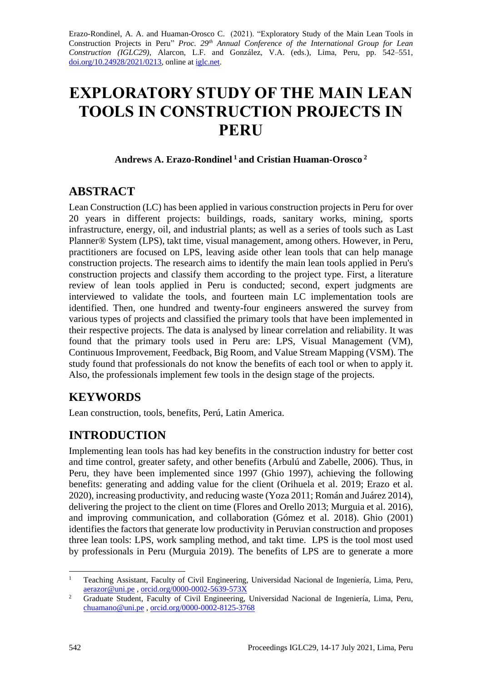Erazo-Rondinel, A. A. and Huaman-Orosco C. (2021). "Exploratory Study of the Main Lean Tools in Construction Projects in Peru" *Proc. 29th Annual Conference of the International Group for Lean Construction (IGLC29),* Alarcon, L.F. and González, V.A. (eds.)*,* Lima, Peru, pp. 542–551, [doi.org/10.24928/2021/0213,](https://doi.org/10.24928/2021/0213) online a[t iglc.net.](http://iglc.net/)

# **EXPLORATORY STUDY OF THE MAIN LEAN TOOLS IN CONSTRUCTION PROJECTS IN PERU**

**Andrews A. Erazo-Rondinel <sup>1</sup> and Cristian Huaman-Orosco <sup>2</sup>**

### **ABSTRACT**

Lean Construction (LC) has been applied in various construction projects in Peru for over 20 years in different projects: buildings, roads, sanitary works, mining, sports infrastructure, energy, oil, and industrial plants; as well as a series of tools such as Last Planner® System (LPS), takt time, visual management, among others. However, in Peru, practitioners are focused on LPS, leaving aside other lean tools that can help manage construction projects. The research aims to identify the main lean tools applied in Peru's construction projects and classify them according to the project type. First, a literature review of lean tools applied in Peru is conducted; second, expert judgments are interviewed to validate the tools, and fourteen main LC implementation tools are identified. Then, one hundred and twenty-four engineers answered the survey from various types of projects and classified the primary tools that have been implemented in their respective projects. The data is analysed by linear correlation and reliability. It was found that the primary tools used in Peru are: LPS, Visual Management (VM), Continuous Improvement, Feedback, Big Room, and Value Stream Mapping (VSM). The study found that professionals do not know the benefits of each tool or when to apply it. Also, the professionals implement few tools in the design stage of the projects.

# **KEYWORDS**

Lean construction, tools, benefits, Perú, Latin America.

# **INTRODUCTION**

Implementing lean tools has had key benefits in the construction industry for better cost and time control, greater safety, and other benefits (Arbulú and Zabelle, 2006). Thus, in Peru, they have been implemented since 1997 (Ghio 1997), achieving the following benefits: generating and adding value for the client (Orihuela et al. 2019; Erazo et al. 2020), increasing productivity, and reducing waste (Yoza 2011; Román and Juárez 2014), delivering the project to the client on time (Flores and Orello 2013; Murguia et al. 2016), and improving communication, and collaboration (Gómez et al. 2018). Ghio (2001) identifies the factors that generate low productivity in Peruvian construction and proposes three lean tools: LPS, work sampling method, and takt time. LPS is the tool most used by professionals in Peru (Murguia 2019). The benefits of LPS are to generate a more

<sup>&</sup>lt;sup>1</sup> Teaching Assistant, Faculty of Civil Engineering, Universidad Nacional de Ingeniería, Lima, Peru, [aerazor@uni.pe](mailto:aerazor@uni.pe) , [orcid.org/0000-0002-5639-573X](https://orcid.org/0000-0002-5639-573X)

<sup>2</sup> Graduate Student, Faculty of Civil Engineering, Universidad Nacional de Ingeniería, Lima, Peru, [chuamano@uni.pe](mailto:chuamano@uni.pe) [, orcid.org/0000-0002-8125-3768](https://orcid.org/0000-0002-8125-3768)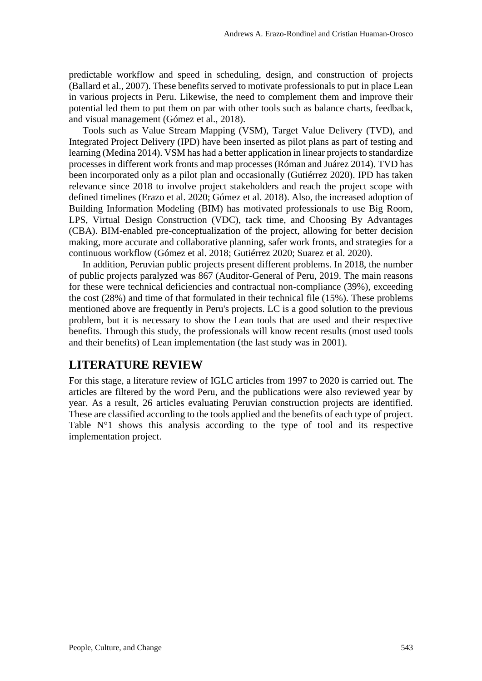predictable workflow and speed in scheduling, design, and construction of projects (Ballard et al., 2007). These benefits served to motivate professionals to put in place Lean in various projects in Peru. Likewise, the need to complement them and improve their potential led them to put them on par with other tools such as balance charts, feedback, and visual management (Gómez et al., 2018).

Tools such as Value Stream Mapping (VSM), Target Value Delivery (TVD), and Integrated Project Delivery (IPD) have been inserted as pilot plans as part of testing and learning (Medina 2014). VSM has had a better application in linear projects to standardize processes in different work fronts and map processes (Róman and Juárez 2014). TVD has been incorporated only as a pilot plan and occasionally (Gutiérrez 2020). IPD has taken relevance since 2018 to involve project stakeholders and reach the project scope with defined timelines (Erazo et al. 2020; Gómez et al. 2018). Also, the increased adoption of Building Information Modeling (BIM) has motivated professionals to use Big Room, LPS, Virtual Design Construction (VDC), tack time, and Choosing By Advantages (CBA). BIM-enabled pre-conceptualization of the project, allowing for better decision making, more accurate and collaborative planning, safer work fronts, and strategies for a continuous workflow (Gómez et al. 2018; Gutiérrez 2020; Suarez et al. 2020).

In addition, Peruvian public projects present different problems. In 2018, the number of public projects paralyzed was 867 (Auditor-General of Peru, 2019. The main reasons for these were technical deficiencies and contractual non-compliance (39%), exceeding the cost (28%) and time of that formulated in their technical file (15%). These problems mentioned above are frequently in Peru's projects. LC is a good solution to the previous problem, but it is necessary to show the Lean tools that are used and their respective benefits. Through this study, the professionals will know recent results (most used tools and their benefits) of Lean implementation (the last study was in 2001).

#### **LITERATURE REVIEW**

For this stage, a literature review of IGLC articles from 1997 to 2020 is carried out. The articles are filtered by the word Peru, and the publications were also reviewed year by year. As a result, 26 articles evaluating Peruvian construction projects are identified. These are classified according to the tools applied and the benefits of each type of project. Table N°1 shows this analysis according to the type of tool and its respective implementation project.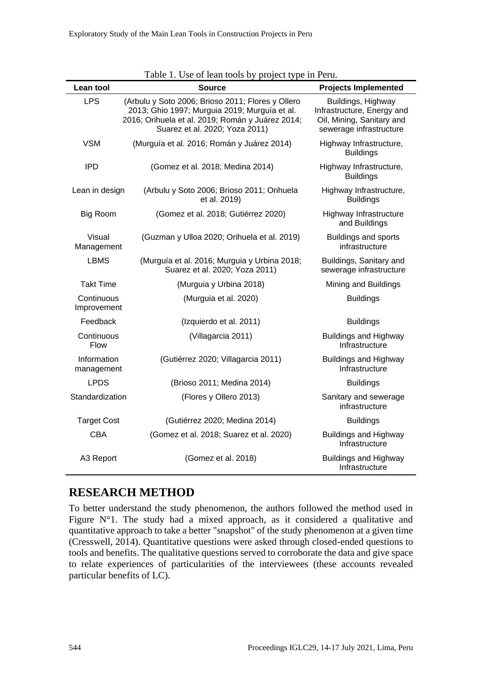|                           | rable 1. Ose of leaff tools by project type in Feru.                                                                                                                                     |                                                                                                          |  |  |  |
|---------------------------|------------------------------------------------------------------------------------------------------------------------------------------------------------------------------------------|----------------------------------------------------------------------------------------------------------|--|--|--|
| Lean tool                 | Source                                                                                                                                                                                   | <b>Projects Implemented</b>                                                                              |  |  |  |
| <b>LPS</b>                | (Arbulu y Soto 2006; Brioso 2011; Flores y Ollero<br>2013; Ghio 1997; Murguia 2019; Murguía et al.<br>2016; Orihuela et al. 2019; Román y Juárez 2014;<br>Suarez et al. 2020; Yoza 2011) | Buildings, Highway<br>Infrastructure, Energy and<br>Oil, Mining, Sanitary and<br>sewerage infrastructure |  |  |  |
| <b>VSM</b>                | (Murguía et al. 2016; Román y Juárez 2014)                                                                                                                                               | Highway Infrastructure,<br><b>Buildings</b>                                                              |  |  |  |
| <b>IPD</b>                | (Gomez et al. 2018; Medina 2014)                                                                                                                                                         | Highway Infrastructure,<br><b>Buildings</b>                                                              |  |  |  |
| Lean in design            | (Arbulu y Soto 2006; Brioso 2011; Orihuela<br>et al. 2019)                                                                                                                               | Highway Infrastructure,<br><b>Buildings</b>                                                              |  |  |  |
| <b>Big Room</b>           | (Gomez et al. 2018; Gutiérrez 2020)                                                                                                                                                      | Highway Infrastructure<br>and Buildings                                                                  |  |  |  |
| Visual<br>Management      | (Guzman y Ulloa 2020; Orihuela et al. 2019)                                                                                                                                              | <b>Buildings and sports</b><br>infrastructure                                                            |  |  |  |
| <b>LBMS</b>               | (Murguía et al. 2016; Murguia y Urbina 2018;<br>Suarez et al. 2020; Yoza 2011)                                                                                                           | Buildings, Sanitary and<br>sewerage infrastructure                                                       |  |  |  |
| <b>Takt Time</b>          | (Murguia y Urbina 2018)                                                                                                                                                                  | Mining and Buildings                                                                                     |  |  |  |
| Continuous<br>Improvement | (Murguia et al. 2020)                                                                                                                                                                    | <b>Buildings</b>                                                                                         |  |  |  |
| Feedback                  | (Izquierdo et al. 2011)                                                                                                                                                                  | <b>Buildings</b>                                                                                         |  |  |  |
| Continuous<br><b>Flow</b> | (Villagarcia 2011)                                                                                                                                                                       | <b>Buildings and Highway</b><br>Infrastructure                                                           |  |  |  |
| Information<br>management | (Gutiérrez 2020; Villagarcia 2011)                                                                                                                                                       | <b>Buildings and Highway</b><br>Infrastructure                                                           |  |  |  |
| <b>LPDS</b>               | (Brioso 2011; Medina 2014)                                                                                                                                                               | <b>Buildings</b>                                                                                         |  |  |  |
| Standardization           | (Flores y Ollero 2013)                                                                                                                                                                   | Sanitary and sewerage<br>infrastructure                                                                  |  |  |  |
| <b>Target Cost</b>        | (Gutiérrez 2020; Medina 2014)                                                                                                                                                            | <b>Buildings</b>                                                                                         |  |  |  |
| <b>CBA</b>                | (Gomez et al. 2018; Suarez et al. 2020)                                                                                                                                                  | <b>Buildings and Highway</b><br>Infrastructure                                                           |  |  |  |
| A3 Report                 | (Gomez et al. 2018)                                                                                                                                                                      | <b>Buildings and Highway</b><br>Infrastructure                                                           |  |  |  |

|  | Table 1. Use of lean tools by project type in Peru. |  |  |
|--|-----------------------------------------------------|--|--|
|  |                                                     |  |  |

#### **RESEARCH METHOD**

To better understand the study phenomenon, the authors followed the method used in Figure N°1. The study had a mixed approach, as it considered a qualitative and quantitative approach to take a better "snapshot" of the study phenomenon at a given time (Cresswell, 2014). Quantitative questions were asked through closed-ended questions to tools and benefits. The qualitative questions served to corroborate the data and give space to relate experiences of particularities of the interviewees (these accounts revealed particular benefits of LC).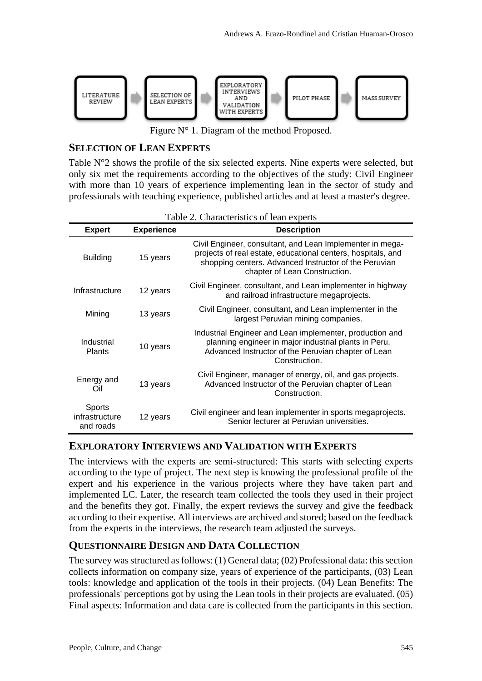

Figure N° 1. Diagram of the method Proposed.

#### **SELECTION OF LEAN EXPERTS**

Table N°2 shows the profile of the six selected experts. Nine experts were selected, but only six met the requirements according to the objectives of the study: Civil Engineer with more than 10 years of experience implementing lean in the sector of study and professionals with teaching experience, published articles and at least a master's degree.

| <b>Expert</b>                         | <b>Experience</b> | <b>Description</b>                                                                                                                                                                                                  |
|---------------------------------------|-------------------|---------------------------------------------------------------------------------------------------------------------------------------------------------------------------------------------------------------------|
| <b>Building</b>                       | 15 years          | Civil Engineer, consultant, and Lean Implementer in mega-<br>projects of real estate, educational centers, hospitals, and<br>shopping centers. Advanced Instructor of the Peruvian<br>chapter of Lean Construction. |
| Infrastructure                        | 12 years          | Civil Engineer, consultant, and Lean implementer in highway<br>and railroad infrastructure megaprojects.                                                                                                            |
| Mining                                | 13 years          | Civil Engineer, consultant, and Lean implementer in the<br>largest Peruvian mining companies.                                                                                                                       |
| Industrial<br><b>Plants</b>           | 10 years          | Industrial Engineer and Lean implementer, production and<br>planning engineer in major industrial plants in Peru.<br>Advanced Instructor of the Peruvian chapter of Lean<br>Construction.                           |
| Energy and<br>Oil                     | 13 years          | Civil Engineer, manager of energy, oil, and gas projects.<br>Advanced Instructor of the Peruvian chapter of Lean<br>Construction.                                                                                   |
| Sports<br>infrastructure<br>and roads | 12 years          | Civil engineer and lean implementer in sports megaprojects.<br>Senior lecturer at Peruvian universities.                                                                                                            |

| Table 2. Characteristics of lean experts |  |
|------------------------------------------|--|
|                                          |  |

#### **EXPLORATORY INTERVIEWS AND VALIDATION WITH EXPERTS**

The interviews with the experts are semi-structured: This starts with selecting experts according to the type of project. The next step is knowing the professional profile of the expert and his experience in the various projects where they have taken part and implemented LC. Later, the research team collected the tools they used in their project and the benefits they got. Finally, the expert reviews the survey and give the feedback according to their expertise. All interviews are archived and stored; based on the feedback from the experts in the interviews, the research team adjusted the surveys.

#### **QUESTIONNAIRE DESIGN AND DATA COLLECTION**

The survey was structured as follows: (1) General data; (02) Professional data: this section collects information on company size, years of experience of the participants, (03) Lean tools: knowledge and application of the tools in their projects. (04) Lean Benefits: The professionals' perceptions got by using the Lean tools in their projects are evaluated. (05) Final aspects: Information and data care is collected from the participants in this section.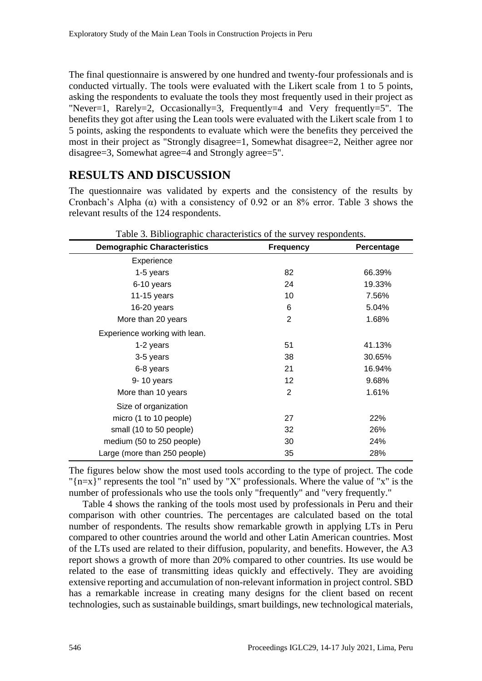The final questionnaire is answered by one hundred and twenty-four professionals and is conducted virtually. The tools were evaluated with the Likert scale from 1 to 5 points, asking the respondents to evaluate the tools they most frequently used in their project as "Never=1, Rarely=2, Occasionally=3, Frequently=4 and Very frequently=5". The benefits they got after using the Lean tools were evaluated with the Likert scale from 1 to 5 points, asking the respondents to evaluate which were the benefits they perceived the most in their project as "Strongly disagree=1, Somewhat disagree=2, Neither agree nor disagree=3, Somewhat agree=4 and Strongly agree=5".

# **RESULTS AND DISCUSSION**

The questionnaire was validated by experts and the consistency of the results by Cronbach's Alpha ( $\alpha$ ) with a consistency of 0.92 or an 8% error. Table 3 shows the relevant results of the 124 respondents.

| <b>Demographic Characteristics</b> | <b>Frequency</b> | Percentage |
|------------------------------------|------------------|------------|
| Experience                         |                  |            |
| 1-5 years                          | 82               | 66.39%     |
| 6-10 years                         | 24               | 19.33%     |
| 11-15 years                        | 10               | 7.56%      |
| 16-20 years                        | 6                | 5.04%      |
| More than 20 years                 | 2                | 1.68%      |
| Experience working with lean.      |                  |            |
| 1-2 years                          | 51               | 41.13%     |
| 3-5 years                          | 38               | 30.65%     |
| 6-8 years                          | 21               | 16.94%     |
| 9-10 years                         | 12               | 9.68%      |
| More than 10 years                 | 2                | 1.61%      |
| Size of organization               |                  |            |
| micro (1 to 10 people)             | 27               | 22%        |
| small (10 to 50 people)            | 32               | 26%        |
| medium (50 to 250 people)          | 30               | 24%        |
| Large (more than 250 people)       | 35               | 28%        |

The figures below show the most used tools according to the type of project. The code "{n=x}" represents the tool "n" used by "X" professionals. Where the value of "x" is the number of professionals who use the tools only "frequently" and "very frequently."

Table 4 shows the ranking of the tools most used by professionals in Peru and their comparison with other countries. The percentages are calculated based on the total number of respondents. The results show remarkable growth in applying LTs in Peru compared to other countries around the world and other Latin American countries. Most of the LTs used are related to their diffusion, popularity, and benefits. However, the A3 report shows a growth of more than 20% compared to other countries. Its use would be related to the ease of transmitting ideas quickly and effectively. They are avoiding extensive reporting and accumulation of non-relevant information in project control. SBD has a remarkable increase in creating many designs for the client based on recent technologies, such as sustainable buildings, smart buildings, new technological materials,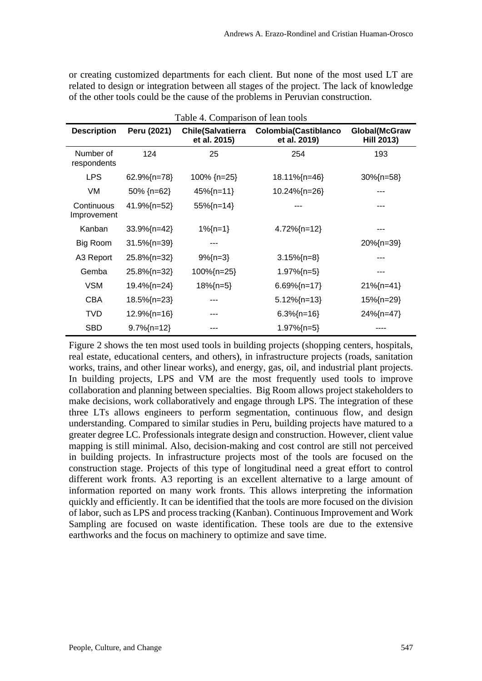or creating customized departments for each client. But none of the most used LT are related to design or integration between all stages of the project. The lack of knowledge of the other tools could be the cause of the problems in Peruvian construction.

| Table 4. Comparison of lean tools |                         |                                          |                                             |                                    |  |
|-----------------------------------|-------------------------|------------------------------------------|---------------------------------------------|------------------------------------|--|
| <b>Description</b>                | Peru (2021)             | <b>Chile(Salvatierra</b><br>et al. 2015) | <b>Colombia(Castiblanco</b><br>et al. 2019) | Global(McGraw<br><b>Hill 2013)</b> |  |
| Number of<br>respondents          | 124                     | 25                                       | 254                                         | 193                                |  |
| <b>LPS</b>                        | 62.9%{n=78}             | 100% {n=25}                              | 18.11%{n=46}                                | $30\%$ {n=58}                      |  |
| VM                                | 50% {n=62}              | $45\%$ {n=11}                            | 10.24%{n=26}                                |                                    |  |
| Continuous<br>Improvement         | 41.9%{n=52}             | 55%{n=14}                                |                                             |                                    |  |
| Kanban                            | $33.9\frac{7}{1}$ = 42  | $1\%$ {n=1}                              | $4.72\%$ {n=12}                             |                                    |  |
| Big Room                          | $31.5\frac{7}{1}$ = 39} |                                          |                                             | 20%{n=39}                          |  |
| A3 Report                         | 25.8%{n=32}             | $9\frac{7}{1}$ = 3}                      | $3.15\%$ {n=8}                              |                                    |  |
| Gemba                             | 25.8%{n=32}             | 100%{n=25}                               | $1.97\%$ {n=5}                              | ---                                |  |
| <b>VSM</b>                        | 19.4%{n=24}             | $18\%$ {n=5}                             | $6.69\frac{7}{1}$ = 17}                     | $21\%$ {n=41}                      |  |
| <b>CBA</b>                        | 18.5%{n=23}             | ---                                      | $5.12\%$ {n=13}                             | 15%{n=29}                          |  |
| <b>TVD</b>                        | $12.9\frac{7}{12}$      | ---                                      | $6.3\frac{7}{1}$ = 16}                      | 24%{n=47}                          |  |
| <b>SBD</b>                        | $9.7\frac{1}{1}$ = 12}  |                                          | $1.97\%$ {n=5}                              |                                    |  |

Figure 2 shows the ten most used tools in building projects (shopping centers, hospitals, real estate, educational centers, and others), in infrastructure projects (roads, sanitation works, trains, and other linear works), and energy, gas, oil, and industrial plant projects. In building projects, LPS and VM are the most frequently used tools to improve collaboration and planning between specialties. Big Room allows project stakeholders to make decisions, work collaboratively and engage through LPS. The integration of these three LTs allows engineers to perform segmentation, continuous flow, and design understanding. Compared to similar studies in Peru, building projects have matured to a greater degree LC. Professionals integrate design and construction. However, client value mapping is still minimal. Also, decision-making and cost control are still not perceived in building projects. In infrastructure projects most of the tools are focused on the construction stage. Projects of this type of longitudinal need a great effort to control different work fronts. A3 reporting is an excellent alternative to a large amount of information reported on many work fronts. This allows interpreting the information quickly and efficiently. It can be identified that the tools are more focused on the division of labor, such as LPS and process tracking (Kanban). Continuous Improvement and Work Sampling are focused on waste identification. These tools are due to the extensive earthworks and the focus on machinery to optimize and save time.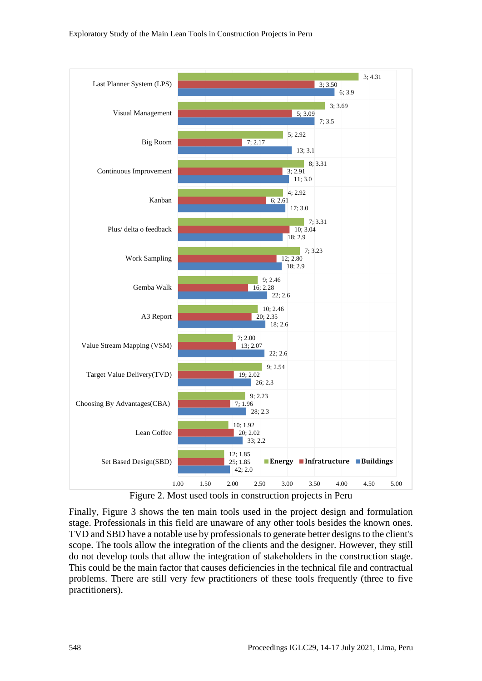

Figure 2. Most used tools in construction projects in Peru

Finally, Figure 3 shows the ten main tools used in the project design and formulation stage. Professionals in this field are unaware of any other tools besides the known ones. TVD and SBD have a notable use by professionals to generate better designs to the client's scope. The tools allow the integration of the clients and the designer. However, they still do not develop tools that allow the integration of stakeholders in the construction stage. This could be the main factor that causes deficiencies in the technical file and contractual problems. There are still very few practitioners of these tools frequently (three to five practitioners).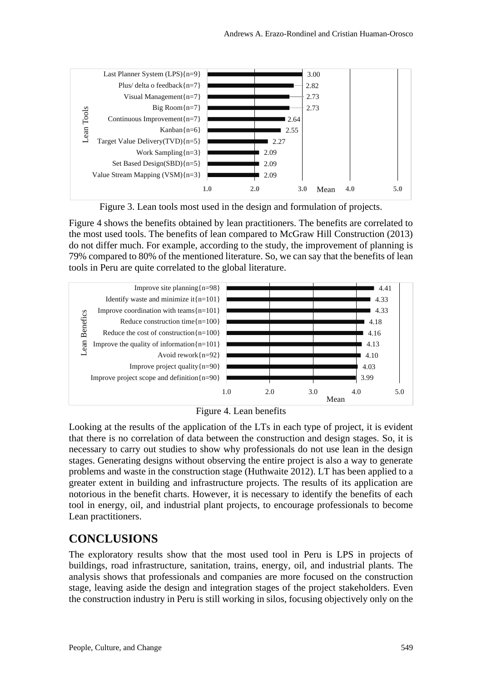

Figure 3. Lean tools most used in the design and formulation of projects.

Figure 4 shows the benefits obtained by lean practitioners. The benefits are correlated to the most used tools. The benefits of lean compared to McGraw Hill Construction (2013) do not differ much. For example, according to the study, the improvement of planning is 79% compared to 80% of the mentioned literature. So, we can say that the benefits of lean tools in Peru are quite correlated to the global literature.





Looking at the results of the application of the LTs in each type of project, it is evident that there is no correlation of data between the construction and design stages. So, it is necessary to carry out studies to show why professionals do not use lean in the design stages. Generating designs without observing the entire project is also a way to generate problems and waste in the construction stage (Huthwaite 2012). LT has been applied to a greater extent in building and infrastructure projects. The results of its application are notorious in the benefit charts. However, it is necessary to identify the benefits of each tool in energy, oil, and industrial plant projects, to encourage professionals to become Lean practitioners.

# **CONCLUSIONS**

The exploratory results show that the most used tool in Peru is LPS in projects of buildings, road infrastructure, sanitation, trains, energy, oil, and industrial plants. The analysis shows that professionals and companies are more focused on the construction stage, leaving aside the design and integration stages of the project stakeholders. Even the construction industry in Peru is still working in silos, focusing objectively only on the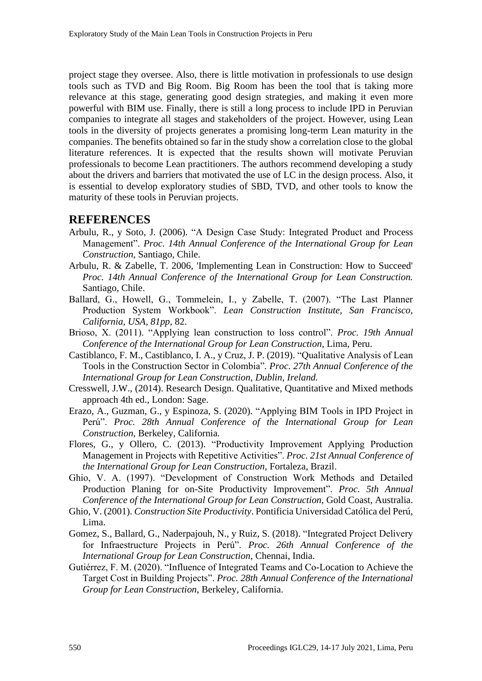project stage they oversee. Also, there is little motivation in professionals to use design tools such as TVD and Big Room. Big Room has been the tool that is taking more relevance at this stage, generating good design strategies, and making it even more powerful with BIM use. Finally, there is still a long process to include IPD in Peruvian companies to integrate all stages and stakeholders of the project. However, using Lean tools in the diversity of projects generates a promising long-term Lean maturity in the companies. The benefits obtained so far in the study show a correlation close to the global literature references. It is expected that the results shown will motivate Peruvian professionals to become Lean practitioners. The authors recommend developing a study about the drivers and barriers that motivated the use of LC in the design process. Also, it is essential to develop exploratory studies of SBD, TVD, and other tools to know the maturity of these tools in Peruvian projects.

#### **REFERENCES**

- Arbulu, R., y Soto, J. (2006). "A Design Case Study: Integrated Product and Process Management". *Proc. 14th Annual Conference of the International Group for Lean Construction*, Santiago, Chile.
- Arbulu, R. & Zabelle, T. 2006, 'Implementing Lean in Construction: How to Succeed' *Proc. 14th Annual Conference of the International Group for Lean Construction.* Santiago, Chile.
- Ballard, G., Howell, G., Tommelein, I., y Zabelle, T. (2007). "The Last Planner Production System Workbook". *Lean Construction Institute, San Francisco, California, USA, 81pp*, 82.
- Brioso, X. (2011). "Applying lean construction to loss control". *Proc. 19th Annual Conference of the International Group for Lean Construction*, Lima, Peru.
- Castiblanco, F. M., Castiblanco, I. A., y Cruz, J. P. (2019). "Qualitative Analysis of Lean Tools in the Construction Sector in Colombia"*. Proc. 27th Annual Conference of the International Group for Lean Construction, Dublin, Ireland.*
- Cresswell, J.W., (2014). Research Design. Qualitative, Quantitative and Mixed methods approach 4th ed., London: Sage.
- Erazo, A., Guzman, G., y Espinoza, S. (2020). "Applying BIM Tools in IPD Project in Perú". *Proc. 28th Annual Conference of the International Group for Lean Construction*, Berkeley, California.
- Flores, G., y Ollero, C. (2013). "Productivity Improvement Applying Production Management in Projects with Repetitive Activities". *Proc. 21st Annual Conference of the International Group for Lean Construction*, Fortaleza, Brazil.

Ghio, V. A. (1997). "Development of Construction Work Methods and Detailed Production Planing for on-Site Productivity Improvement". *Proc. 5th Annual Conference of the International Group for Lean Construction*, Gold Coast, Australia.

- Ghio, V. (2001). *Construction Site Productivity*. Pontificia Universidad Católica del Perú, Lima.
- Gomez, S., Ballard, G., Naderpajouh, N., y Ruiz, S. (2018). "Integrated Project Delivery for Infraestructure Projects in Perú". *Proc. 26th Annual Conference of the International Group for Lean Construction*, Chennai, India.
- Gutiérrez, F. M. (2020). "Influence of Integrated Teams and Co-Location to Achieve the Target Cost in Building Projects". *Proc. 28th Annual Conference of the International Group for Lean Construction*, Berkeley, California.